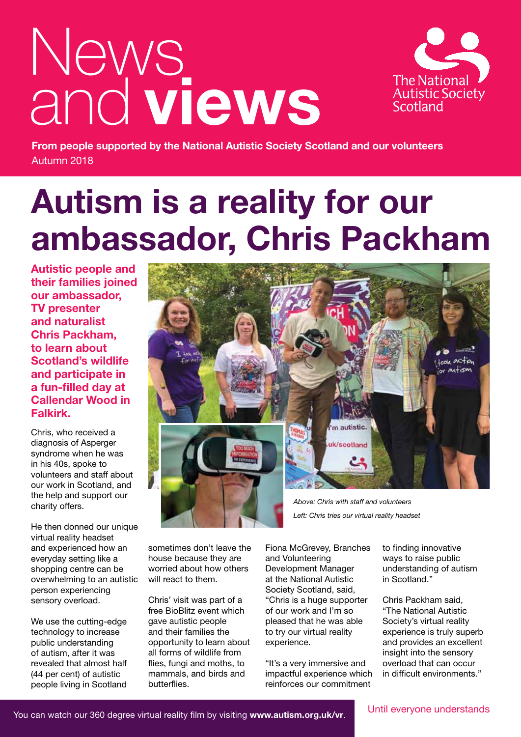# News and **views**



**From people supported by the National Autistic Society Scotland and our volunteers** Autumn 2018

# **Autism is a reality for our ambassador, Chris Packham**

**Autistic people and their families joined our ambassador, TV presenter and naturalist Chris Packham, to learn about Scotland's wildlife and participate in a fun-filled day at Callendar Wood in Falkirk.** 

Chris, who received a diagnosis of Asperger syndrome when he was in his 40s, spoke to volunteers and staff about our work in Scotland, and the help and support our charity offers.

He then donned our unique virtual reality headset and experienced how an everyday setting like a shopping centre can be overwhelming to an autistic person experiencing sensory overload.

We use the cutting-edge technology to increase public understanding of autism, after it was revealed that almost half (44 per cent) of autistic people living in Scotland



sometimes don't leave the house because they are worried about how others will react to them.

Chris' visit was part of a free BioBlitz event which gave autistic people and their families the opportunity to learn about all forms of wildlife from flies, fungi and moths, to mammals, and birds and butterflies.

*Left: Chris tries our virtual reality headset*

Fiona McGrevey, Branches and Volunteering Development Manager at the National Autistic Society Scotland, said, "Chris is a huge supporter of our work and I'm so pleased that he was able to try our virtual reality experience.

"It's a very immersive and impactful experience which reinforces our commitment

to finding innovative ways to raise public understanding of autism in Scotland."

Chris Packham said, "The National Autistic Society's virtual reality experience is truly superb and provides an excellent insight into the sensory overload that can occur in difficult environments."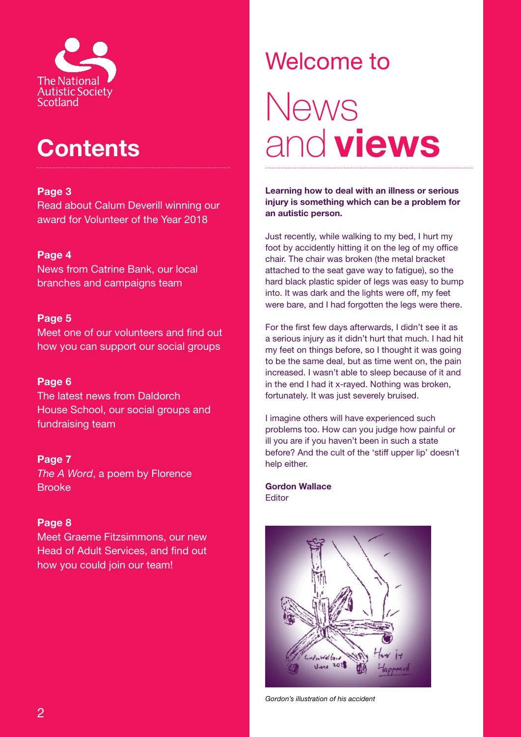

### **Contents**

#### **Page 3**

Read about Calum Deverill winning our award for Volunteer of the Year 2018

#### **Page 4**

News from Catrine Bank, our local branches and campaigns team

#### **Page 5**

Meet one of our volunteers and find out how you can support our social groups

#### **Page 6**

The latest news from Daldorch House School, our social groups and fundraising team

#### **Page 7**

*The A Word*, a poem by Florence Brooke

#### **Page 8**

Meet Graeme Fitzsimmons, our new Head of Adult Services, and find out how you could join our team!

# Welcome to News and **views**

**Learning how to deal with an illness or serious injury is something which can be a problem for an autistic person.**

Just recently, while walking to my bed, I hurt my foot by accidently hitting it on the leg of my office chair. The chair was broken (the metal bracket attached to the seat gave way to fatigue), so the hard black plastic spider of legs was easy to bump into. It was dark and the lights were off, my feet were bare, and I had forgotten the legs were there.

For the first few days afterwards, I didn't see it as a serious injury as it didn't hurt that much. I had hit my feet on things before, so I thought it was going to be the same deal, but as time went on, the pain increased. I wasn't able to sleep because of it and in the end I had it x-rayed. Nothing was broken, fortunately. It was just severely bruised.

I imagine others will have experienced such problems too. How can you judge how painful or ill you are if you haven't been in such a state before? And the cult of the 'stiff upper lip' doesn't help either.

**Gordon Wallace** Editor



*Gordon's illustration of his accident*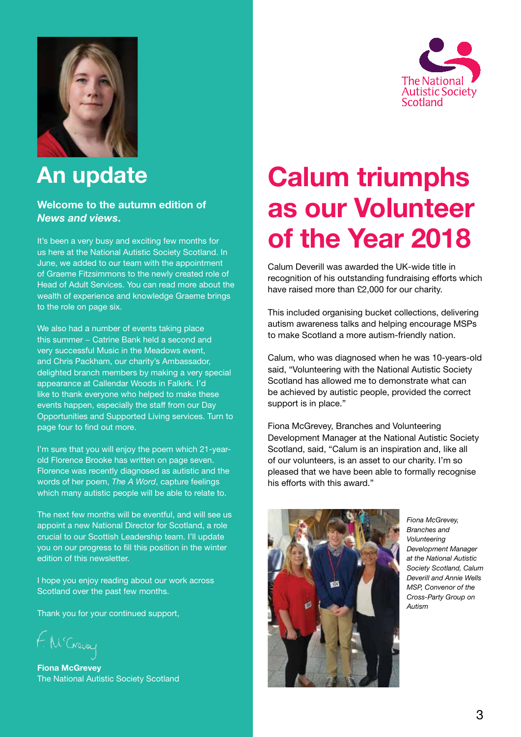



### **An update**

#### **Welcome to the autumn edition of**  *News and views***.**

It's been a very busy and exciting few months for us here at the National Autistic Society Scotland. In June, we added to our team with the appointment of Graeme Fitzsimmons to the newly created role of Head of Adult Services. You can read more about the wealth of experience and knowledge Graeme brings to the role on page six.

We also had a number of events taking place this summer − Catrine Bank held a second and very successful Music in the Meadows event, and Chris Packham, our charity's Ambassador, delighted branch members by making a very special appearance at Callendar Woods in Falkirk. I'd like to thank everyone who helped to make these events happen, especially the staff from our Day Opportunities and Supported Living services. Turn to page four to find out more.

I'm sure that you will enjoy the poem which 21-yearold Florence Brooke has written on page seven. Florence was recently diagnosed as autistic and the words of her poem, *The A Word*, capture feelings which many autistic people will be able to relate to.

The next few months will be eventful, and will see us appoint a new National Director for Scotland, a role crucial to our Scottish Leadership team. I'll update you on our progress to fill this position in the winter edition of this newsletter.

I hope you enjoy reading about our work across Scotland over the past few months.

Thank you for your continued support,

**Fiona McGrevey** The National Autistic Society Scotland

# **Calum triumphs as our Volunteer of the Year 2018**

Calum Deverill was awarded the UK-wide title in recognition of his outstanding fundraising efforts which have raised more than £2,000 for our charity.

This included organising bucket collections, delivering autism awareness talks and helping encourage MSPs to make Scotland a more autism-friendly nation.

Calum, who was diagnosed when he was 10-years-old said, "Volunteering with the National Autistic Society Scotland has allowed me to demonstrate what can be achieved by autistic people, provided the correct support is in place."

Fiona McGrevey, Branches and Volunteering Development Manager at the National Autistic Society Scotland, said, "Calum is an inspiration and, like all of our volunteers, is an asset to our charity. I'm so pleased that we have been able to formally recognise his efforts with this award."



*Fiona McGrevey, Branches and Volunteering Development Manager at the National Autistic Society Scotland, Calum Deverill and Annie Wells MSP, Convenor of the Cross-Party Group on Autism*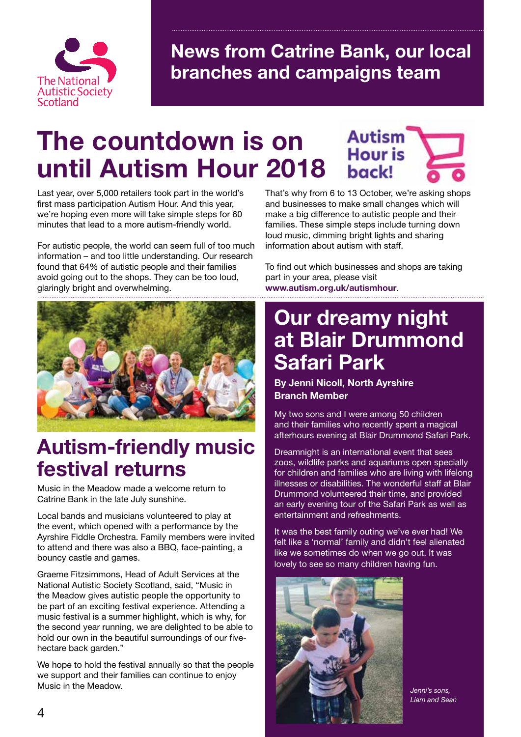

**News from Catrine Bank, our local branches and campaigns team**

### **The countdown is on until Autism Hour 2018**

Last year, over 5,000 retailers took part in the world's first mass participation Autism Hour. And this year, we're hoping even more will take simple steps for 60 minutes that lead to a more autism-friendly world.

For autistic people, the world can seem full of too much information – and too little understanding. Our research found that 64% of autistic people and their families avoid going out to the shops. They can be too loud, glaringly bright and overwhelming.



### **Autism-friendly music festival returns**

Music in the Meadow made a welcome return to Catrine Bank in the late July sunshine.

Local bands and musicians volunteered to play at the event, which opened with a performance by the Ayrshire Fiddle Orchestra. Family members were invited to attend and there was also a BBQ, face-painting, a bouncy castle and games.

Graeme Fitzsimmons, Head of Adult Services at the National Autistic Society Scotland, said, "Music in the Meadow gives autistic people the opportunity to be part of an exciting festival experience. Attending a music festival is a summer highlight, which is why, for the second year running, we are delighted to be able to hold our own in the beautiful surroundings of our fivehectare back garden."

We hope to hold the festival annually so that the people we support and their families can continue to enjoy Music in the Meadow.

That's why from 6 to 13 October, we're asking shops and businesses to make small changes which will make a big difference to autistic people and their families. These simple steps include turning down loud music, dimming bright lights and sharing information about autism with staff.

**Autism** 

**Hour is** 

back!

To find out which businesses and shops are taking part in your area, please visit **www.autism.org.uk/autismhour**.

### **Our dreamy night at Blair Drummond Safari Park**

**By Jenni Nicoll, North Ayrshire Branch Member**

My two sons and I were among 50 children and their families who recently spent a magical afterhours evening at Blair Drummond Safari Park.

Dreamnight is an international event that sees zoos, wildlife parks and aquariums open specially for children and families who are living with lifelong illnesses or disabilities. The wonderful staff at Blair Drummond volunteered their time, and provided an early evening tour of the Safari Park as well as entertainment and refreshments.

It was the best family outing we've ever had! We felt like a 'normal' family and didn't feel alienated like we sometimes do when we go out. It was lovely to see so many children having fun.



*Jenni's sons, Liam and Sean*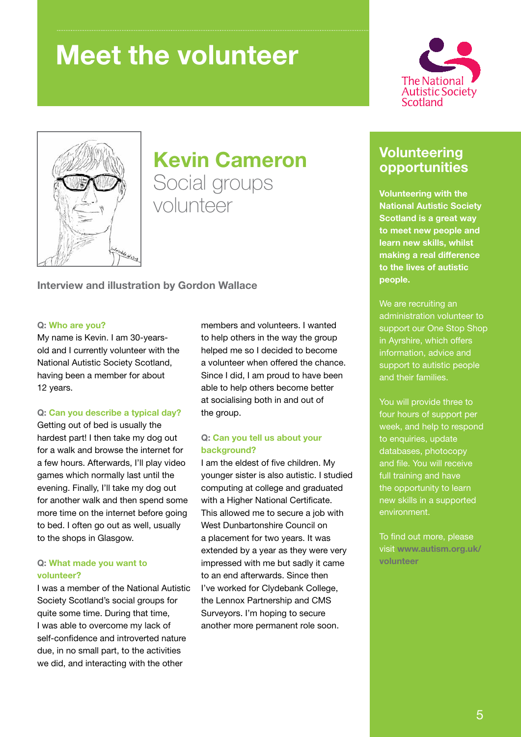### **Meet the volunteer**





# **Kevin Cameron**

Social groups volunteer

**Interview and illustration by Gordon Wallace**

#### **Q: Who are you?**

My name is Kevin. I am 30-yearsold and I currently volunteer with the National Autistic Society Scotland, having been a member for about 12 years.

#### **Q: Can you describe a typical day?**

Getting out of bed is usually the hardest part! I then take my dog out for a walk and browse the internet for a few hours. Afterwards, I'll play video games which normally last until the evening. Finally, I'll take my dog out for another walk and then spend some more time on the internet before going to bed. I often go out as well, usually to the shops in Glasgow.

#### **Q: What made you want to volunteer?**

I was a member of the National Autistic Society Scotland's social groups for quite some time. During that time, I was able to overcome my lack of self-confidence and introverted nature due, in no small part, to the activities we did, and interacting with the other

members and volunteers. I wanted to help others in the way the group helped me so I decided to become a volunteer when offered the chance. Since I did, I am proud to have been able to help others become better at socialising both in and out of the group.

#### **Q: Can you tell us about your background?**

I am the eldest of five children. My younger sister is also autistic. I studied computing at college and graduated with a Higher National Certificate. This allowed me to secure a job with West Dunbartonshire Council on a placement for two years. It was extended by a year as they were very impressed with me but sadly it came to an end afterwards. Since then I've worked for Clydebank College, the Lennox Partnership and CMS Surveyors. I'm hoping to secure another more permanent role soon.

#### **Volunteering opportunities**

**Volunteering with the National Autistic Society Scotland is a great way to meet new people and learn new skills, whilst making a real difference to the lives of autistic people.** 

We are recruiting an administration volunteer to support our One Stop Shop in Ayrshire, which offers information, advice and support to autistic people and their families.

You will provide three to four hours of support per week, and help to respond to enquiries, update databases, photocopy and file. You will receive full training and have the opportunity to learn new skills in a supported environment.

To find out more, please visit **www.autism.org.uk/ volunteer**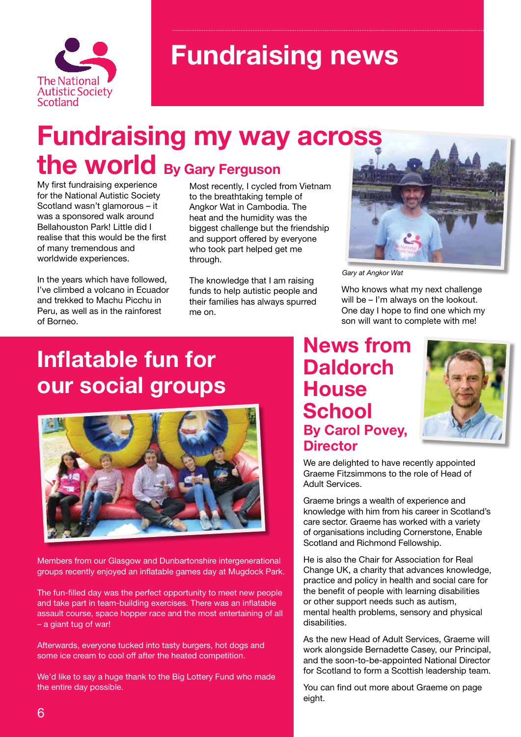

### **Fundraising news**

### **Fundraising my way across the world By Gary Ferguson**

My first fundraising experience for the National Autistic Society Scotland wasn't glamorous – it was a sponsored walk around Bellahouston Park! Little did I realise that this would be the first of many tremendous and worldwide experiences.

In the years which have followed, I've climbed a volcano in Ecuador and trekked to Machu Picchu in Peru, as well as in the rainforest of Borneo.

Most recently, I cycled from Vietnam to the breathtaking temple of Angkor Wat in Cambodia. The heat and the humidity was the biggest challenge but the friendship and support offered by everyone who took part helped get me through.

The knowledge that I am raising funds to help autistic people and their families has always spurred me on.



*Gary at Angkor Wat*

Who knows what my next challenge will be – I'm always on the lookout. One day I hope to find one which my son will want to complete with me!

### **Inflatable fun for our social groups**



Members from our Glasgow and Dunbartonshire intergenerational groups recently enjoyed an inflatable games day at Mugdock Park.

The fun-filled day was the perfect opportunity to meet new people and take part in team-building exercises. There was an inflatable assault course, space hopper race and the most entertaining of all – a giant tug of war!

Afterwards, everyone tucked into tasty burgers, hot dogs and some ice cream to cool off after the heated competition.

We'd like to say a huge thank to the Big Lottery Fund who made the entire day possible.

### **News from Daldorch House School By Carol Povey, Director**



We are delighted to have recently appointed Graeme Fitzsimmons to the role of Head of Adult Services.

Graeme brings a wealth of experience and knowledge with him from his career in Scotland's care sector. Graeme has worked with a variety of organisations including Cornerstone, Enable Scotland and Richmond Fellowship.

He is also the Chair for Association for Real Change UK, a charity that advances knowledge, practice and policy in health and social care for the benefit of people with learning disabilities or other support needs such as autism, mental health problems, sensory and physical disabilities.

As the new Head of Adult Services, Graeme will work alongside Bernadette Casey, our Principal, and the soon-to-be-appointed National Director for Scotland to form a Scottish leadership team.

You can find out more about Graeme on page eight.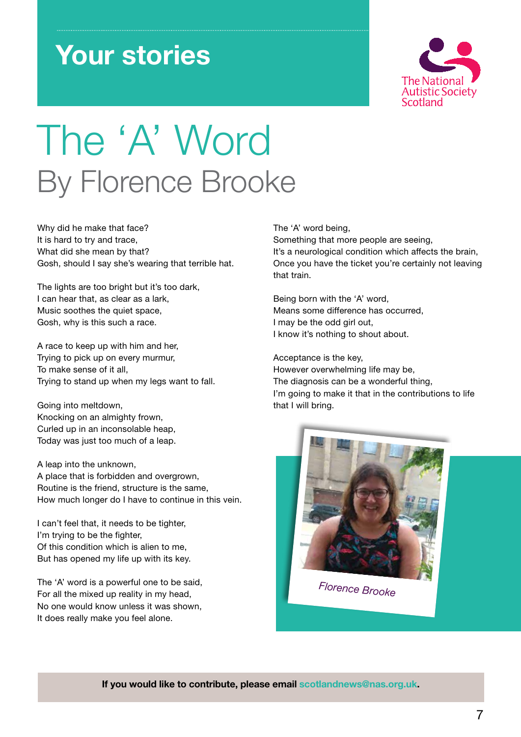# **Your stories**



# The 'A' Word By Florence Brooke

Why did he make that face? It is hard to try and trace, What did she mean by that? Gosh, should I say she's wearing that terrible hat.

The lights are too bright but it's too dark, I can hear that, as clear as a lark, Music soothes the quiet space, Gosh, why is this such a race.

A race to keep up with him and her, Trying to pick up on every murmur, To make sense of it all, Trying to stand up when my legs want to fall.

Going into meltdown, Knocking on an almighty frown, Curled up in an inconsolable heap, Today was just too much of a leap.

A leap into the unknown, A place that is forbidden and overgrown, Routine is the friend, structure is the same, How much longer do I have to continue in this vein.

I can't feel that, it needs to be tighter. I'm trying to be the fighter. Of this condition which is alien to me, But has opened my life up with its key.

The 'A' word is a powerful one to be said, For all the mixed up reality in my head, No one would know unless it was shown, It does really make you feel alone.

The 'A' word being,

Something that more people are seeing, It's a neurological condition which affects the brain, Once you have the ticket you're certainly not leaving that train.

Being born with the 'A' word, Means some difference has occurred, I may be the odd girl out, I know it's nothing to shout about.

Acceptance is the key, However overwhelming life may be, The diagnosis can be a wonderful thing, I'm going to make it that in the contributions to life that I will bring.



*Florence Brooke*